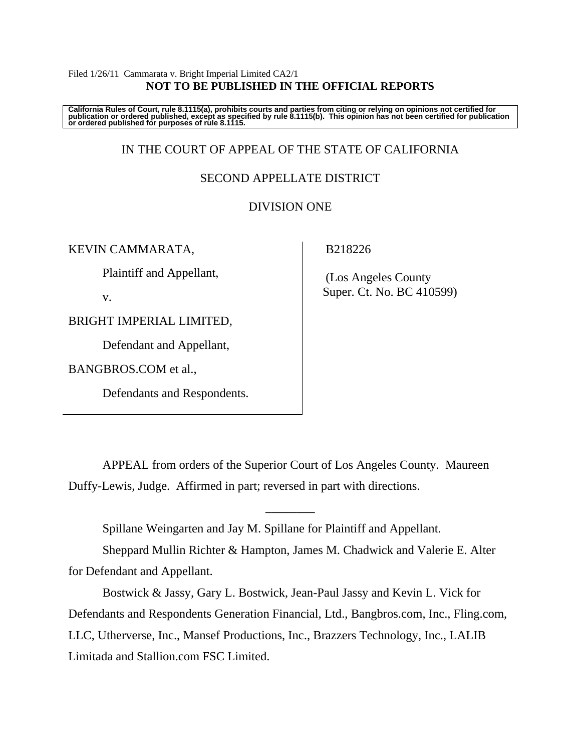#### Filed 1/26/11 Cammarata v. Bright Imperial Limited CA2/1 **NOT TO BE PUBLISHED IN THE OFFICIAL REPORTS**

California Rules of Court, rule 8.1115(a), prohibits courts and parties from citing or relying on opinions not certified for<br>publication or ordered published, except as specified by rule 8.1115(b). This opinion has not be

# IN THE COURT OF APPEAL OF THE STATE OF CALIFORNIA

### SECOND APPELLATE DISTRICT

### DIVISION ONE

KEVIN CAMMARATA,

Plaintiff and Appellant,

v.

BRIGHT IMPERIAL LIMITED,

Defendant and Appellant,

BANGBROS.COM et al.,

Defendants and Respondents.

### B218226

 (Los Angeles County Super. Ct. No. BC 410599)

 APPEAL from orders of the Superior Court of Los Angeles County. Maureen Duffy-Lewis, Judge. Affirmed in part; reversed in part with directions.

Spillane Weingarten and Jay M. Spillane for Plaintiff and Appellant.

 Sheppard Mullin Richter & Hampton, James M. Chadwick and Valerie E. Alter for Defendant and Appellant.

\_\_\_\_\_\_\_\_

 Bostwick & Jassy, Gary L. Bostwick, Jean-Paul Jassy and Kevin L. Vick for Defendants and Respondents Generation Financial, Ltd., Bangbros.com, Inc., Fling.com, LLC, Utherverse, Inc., Mansef Productions, Inc., Brazzers Technology, Inc., LALIB Limitada and Stallion.com FSC Limited.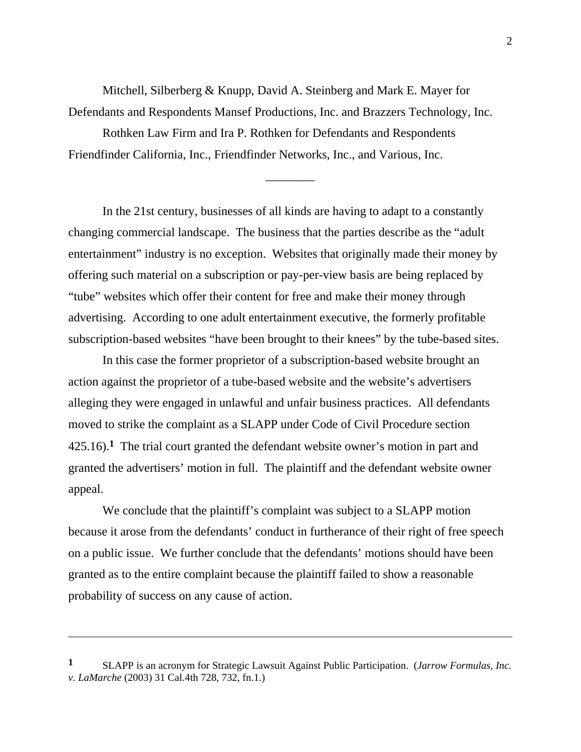Mitchell, Silberberg & Knupp, David A. Steinberg and Mark E. Mayer for Defendants and Respondents Mansef Productions, Inc. and Brazzers Technology, Inc.

 Rothken Law Firm and Ira P. Rothken for Defendants and Respondents Friendfinder California, Inc., Friendfinder Networks, Inc., and Various, Inc.

\_\_\_\_\_\_\_\_

 In the 21st century, businesses of all kinds are having to adapt to a constantly changing commercial landscape. The business that the parties describe as the "adult entertainment" industry is no exception. Websites that originally made their money by offering such material on a subscription or pay-per-view basis are being replaced by "tube" websites which offer their content for free and make their money through advertising. According to one adult entertainment executive, the formerly profitable subscription-based websites "have been brought to their knees" by the tube-based sites.

In this case the former proprietor of a subscription-based website brought an action against the proprietor of a tube-based website and the website's advertisers alleging they were engaged in unlawful and unfair business practices. All defendants moved to strike the complaint as a SLAPP under Code of Civil Procedure section 425.16).**1** The trial court granted the defendant website owner's motion in part and granted the advertisers' motion in full. The plaintiff and the defendant website owner appeal.

 We conclude that the plaintiff's complaint was subject to a SLAPP motion because it arose from the defendants' conduct in furtherance of their right of free speech on a public issue. We further conclude that the defendants' motions should have been granted as to the entire complaint because the plaintiff failed to show a reasonable probability of success on any cause of action.

**<sup>1</sup>** SLAPP is an acronym for Strategic Lawsuit Against Public Participation. (*Jarrow Formulas, Inc. v. LaMarche* (2003) 31 Cal.4th 728, 732, fn.1.)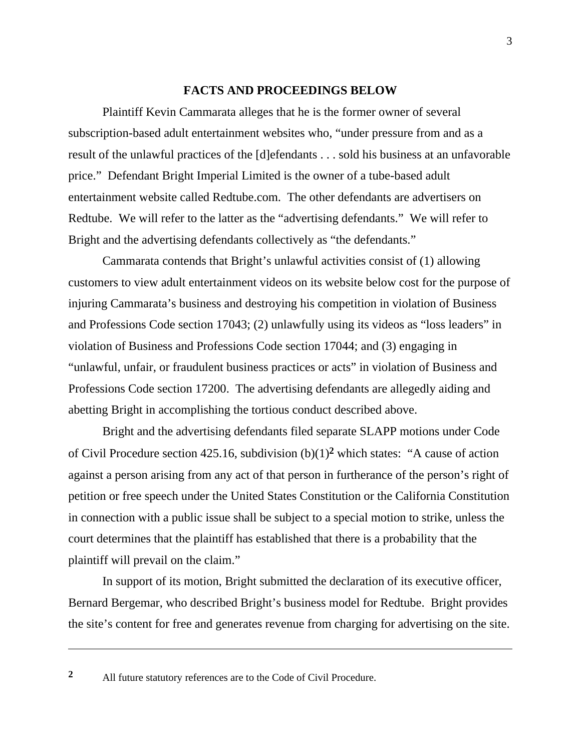#### **FACTS AND PROCEEDINGS BELOW**

 Plaintiff Kevin Cammarata alleges that he is the former owner of several subscription-based adult entertainment websites who, "under pressure from and as a result of the unlawful practices of the [d]efendants . . . sold his business at an unfavorable price." Defendant Bright Imperial Limited is the owner of a tube-based adult entertainment website called Redtube.com. The other defendants are advertisers on Redtube. We will refer to the latter as the "advertising defendants." We will refer to Bright and the advertising defendants collectively as "the defendants."

 Cammarata contends that Bright's unlawful activities consist of (1) allowing customers to view adult entertainment videos on its website below cost for the purpose of injuring Cammarata's business and destroying his competition in violation of Business and Professions Code section 17043; (2) unlawfully using its videos as "loss leaders" in violation of Business and Professions Code section 17044; and (3) engaging in "unlawful, unfair, or fraudulent business practices or acts" in violation of Business and Professions Code section 17200. The advertising defendants are allegedly aiding and abetting Bright in accomplishing the tortious conduct described above.

 Bright and the advertising defendants filed separate SLAPP motions under Code of Civil Procedure section 425.16, subdivision (b)(1)**2** which states: "A cause of action against a person arising from any act of that person in furtherance of the person's right of petition or free speech under the United States Constitution or the California Constitution in connection with a public issue shall be subject to a special motion to strike, unless the court determines that the plaintiff has established that there is a probability that the plaintiff will prevail on the claim."

In support of its motion, Bright submitted the declaration of its executive officer, Bernard Bergemar, who described Bright's business model for Redtube. Bright provides the site's content for free and generates revenue from charging for advertising on the site.

**<sup>2</sup>** All future statutory references are to the Code of Civil Procedure.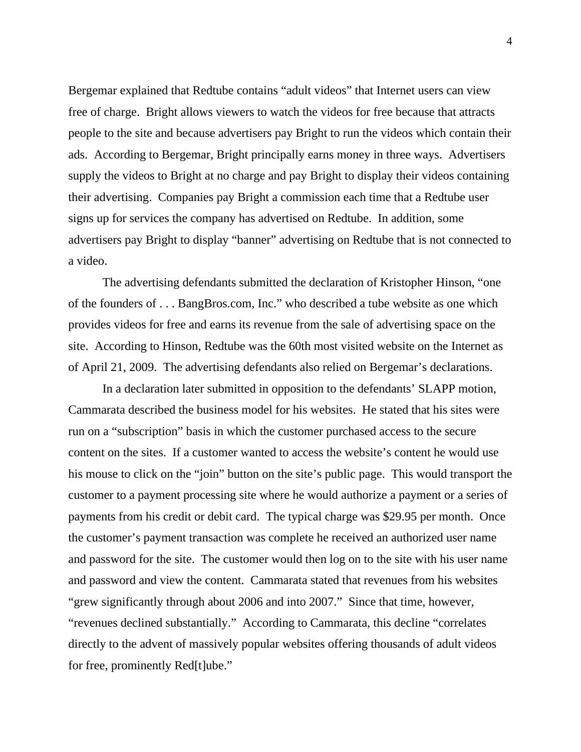Bergemar explained that Redtube contains "adult videos" that Internet users can view free of charge. Bright allows viewers to watch the videos for free because that attracts people to the site and because advertisers pay Bright to run the videos which contain their ads. According to Bergemar, Bright principally earns money in three ways. Advertisers supply the videos to Bright at no charge and pay Bright to display their videos containing their advertising. Companies pay Bright a commission each time that a Redtube user signs up for services the company has advertised on Redtube. In addition, some advertisers pay Bright to display "banner" advertising on Redtube that is not connected to a video.

 The advertising defendants submitted the declaration of Kristopher Hinson, "one of the founders of . . . BangBros.com, Inc." who described a tube website as one which provides videos for free and earns its revenue from the sale of advertising space on the site. According to Hinson, Redtube was the 60th most visited website on the Internet as of April 21, 2009. The advertising defendants also relied on Bergemar's declarations.

 In a declaration later submitted in opposition to the defendants' SLAPP motion, Cammarata described the business model for his websites. He stated that his sites were run on a "subscription" basis in which the customer purchased access to the secure content on the sites. If a customer wanted to access the website's content he would use his mouse to click on the "join" button on the site's public page. This would transport the customer to a payment processing site where he would authorize a payment or a series of payments from his credit or debit card. The typical charge was \$29.95 per month. Once the customer's payment transaction was complete he received an authorized user name and password for the site. The customer would then log on to the site with his user name and password and view the content. Cammarata stated that revenues from his websites "grew significantly through about 2006 and into 2007." Since that time, however, "revenues declined substantially." According to Cammarata, this decline "correlates directly to the advent of massively popular websites offering thousands of adult videos for free, prominently Red[t]ube."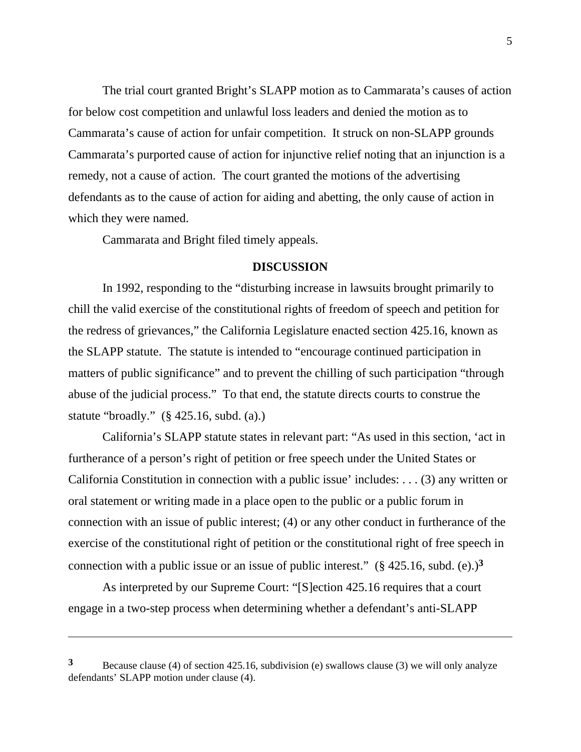The trial court granted Bright's SLAPP motion as to Cammarata's causes of action for below cost competition and unlawful loss leaders and denied the motion as to Cammarata's cause of action for unfair competition. It struck on non-SLAPP grounds Cammarata's purported cause of action for injunctive relief noting that an injunction is a remedy, not a cause of action. The court granted the motions of the advertising defendants as to the cause of action for aiding and abetting, the only cause of action in which they were named.

Cammarata and Bright filed timely appeals.

### **DISCUSSION**

In 1992, responding to the "disturbing increase in lawsuits brought primarily to chill the valid exercise of the constitutional rights of freedom of speech and petition for the redress of grievances," the California Legislature enacted section 425.16, known as the SLAPP statute. The statute is intended to "encourage continued participation in matters of public significance" and to prevent the chilling of such participation "through abuse of the judicial process." To that end, the statute directs courts to construe the statute "broadly." (§ 425.16, subd. (a).)

 California's SLAPP statute states in relevant part: "As used in this section, 'act in furtherance of a person's right of petition or free speech under the United States or California Constitution in connection with a public issue' includes: . . . (3) any written or oral statement or writing made in a place open to the public or a public forum in connection with an issue of public interest; (4) or any other conduct in furtherance of the exercise of the constitutional right of petition or the constitutional right of free speech in connection with a public issue or an issue of public interest."  $(\frac{6}{5}425.16, \text{subd.} (e))^3$ 

 As interpreted by our Supreme Court: "[S]ection 425.16 requires that a court engage in a two-step process when determining whether a defendant's anti-SLAPP

**<sup>3</sup>** Because clause (4) of section 425.16, subdivision (e) swallows clause (3) we will only analyze defendants' SLAPP motion under clause (4).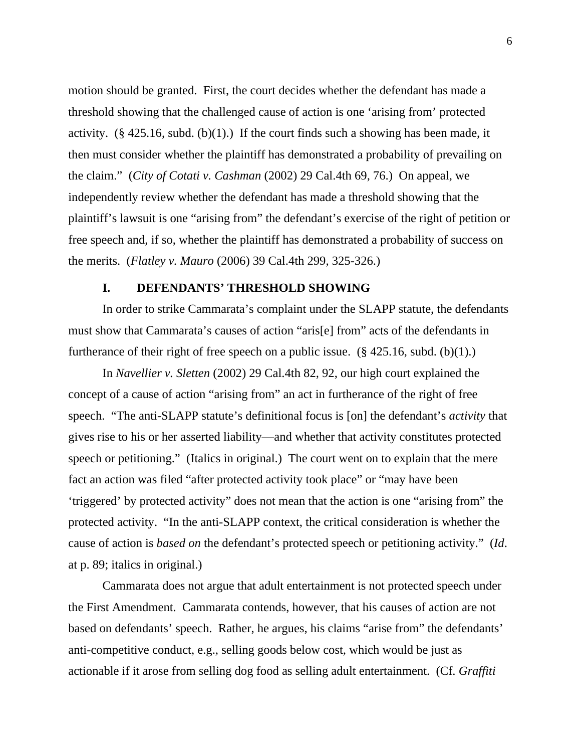motion should be granted. First, the court decides whether the defendant has made a threshold showing that the challenged cause of action is one 'arising from' protected activity.  $(\S 425.16, \text{subd}, (b)(1))$  If the court finds such a showing has been made, it then must consider whether the plaintiff has demonstrated a probability of prevailing on the claim." (*City of Cotati v. Cashman* (2002) 29 Cal.4th 69, 76.) On appeal, we independently review whether the defendant has made a threshold showing that the plaintiff's lawsuit is one "arising from" the defendant's exercise of the right of petition or free speech and, if so, whether the plaintiff has demonstrated a probability of success on the merits. (*Flatley v. Mauro* (2006) 39 Cal.4th 299, 325-326.)

## **I. DEFENDANTS' THRESHOLD SHOWING**

 In order to strike Cammarata's complaint under the SLAPP statute, the defendants must show that Cammarata's causes of action "aris[e] from" acts of the defendants in furtherance of their right of free speech on a public issue.  $(\S$  425.16, subd. (b)(1).)

In *Navellier v. Sletten* (2002) 29 Cal.4th 82, 92, our high court explained the concept of a cause of action "arising from" an act in furtherance of the right of free speech. "The anti-SLAPP statute's definitional focus is [on] the defendant's *activity* that gives rise to his or her asserted liability—and whether that activity constitutes protected speech or petitioning." (Italics in original.) The court went on to explain that the mere fact an action was filed "after protected activity took place" or "may have been 'triggered' by protected activity" does not mean that the action is one "arising from" the protected activity. "In the anti-SLAPP context, the critical consideration is whether the cause of action is *based on* the defendant's protected speech or petitioning activity." (*Id*. at p. 89; italics in original.)

 Cammarata does not argue that adult entertainment is not protected speech under the First Amendment. Cammarata contends, however, that his causes of action are not based on defendants' speech. Rather, he argues, his claims "arise from" the defendants' anti-competitive conduct, e.g., selling goods below cost, which would be just as actionable if it arose from selling dog food as selling adult entertainment. (Cf. *Graffiti*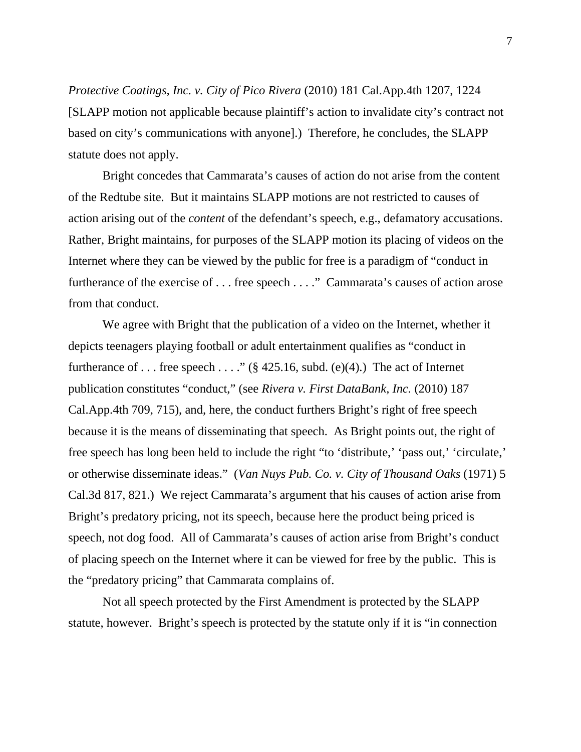*Protective Coatings, Inc. v. City of Pico Rivera* (2010) 181 Cal.App.4th 1207, 1224 [SLAPP motion not applicable because plaintiff's action to invalidate city's contract not based on city's communications with anyone].) Therefore, he concludes, the SLAPP statute does not apply.

Bright concedes that Cammarata's causes of action do not arise from the content of the Redtube site. But it maintains SLAPP motions are not restricted to causes of action arising out of the *content* of the defendant's speech, e.g., defamatory accusations. Rather, Bright maintains, for purposes of the SLAPP motion its placing of videos on the Internet where they can be viewed by the public for free is a paradigm of "conduct in furtherance of the exercise of . . . free speech . . . ." Cammarata's causes of action arose from that conduct.

We agree with Bright that the publication of a video on the Internet, whether it depicts teenagers playing football or adult entertainment qualifies as "conduct in furtherance of ... free speech ...." (§ 425.16, subd. (e)(4).) The act of Internet publication constitutes "conduct," (see *Rivera v. First DataBank, Inc.* (2010) 187 Cal.App.4th 709, 715), and, here, the conduct furthers Bright's right of free speech because it is the means of disseminating that speech. As Bright points out, the right of free speech has long been held to include the right "to 'distribute,' 'pass out,' 'circulate,' or otherwise disseminate ideas." (*Van Nuys Pub. Co. v. City of Thousand Oaks* (1971) 5 Cal.3d 817, 821.) We reject Cammarata's argument that his causes of action arise from Bright's predatory pricing, not its speech, because here the product being priced is speech, not dog food. All of Cammarata's causes of action arise from Bright's conduct of placing speech on the Internet where it can be viewed for free by the public. This is the "predatory pricing" that Cammarata complains of.

Not all speech protected by the First Amendment is protected by the SLAPP statute, however. Bright's speech is protected by the statute only if it is "in connection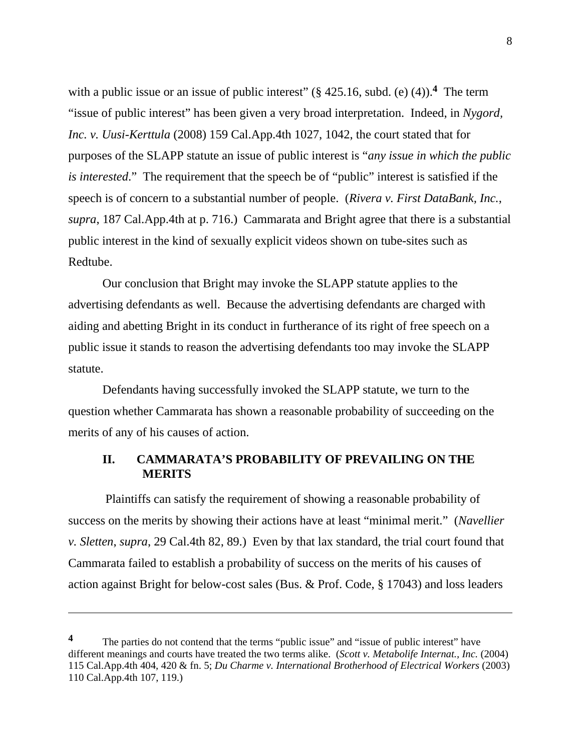with a public issue or an issue of public interest" (§ 425.16, subd. (e) (4)).<sup>4</sup> The term "issue of public interest" has been given a very broad interpretation. Indeed, in *Nygord, Inc. v. Uusi-Kerttula* (2008) 159 Cal.App.4th 1027, 1042, the court stated that for purposes of the SLAPP statute an issue of public interest is "*any issue in which the public is interested*." The requirement that the speech be of "public" interest is satisfied if the speech is of concern to a substantial number of people. (*Rivera v. First DataBank, Inc.*, *supra*, 187 Cal.App.4th at p. 716.) Cammarata and Bright agree that there is a substantial public interest in the kind of sexually explicit videos shown on tube-sites such as Redtube.

Our conclusion that Bright may invoke the SLAPP statute applies to the advertising defendants as well. Because the advertising defendants are charged with aiding and abetting Bright in its conduct in furtherance of its right of free speech on a public issue it stands to reason the advertising defendants too may invoke the SLAPP statute.

Defendants having successfully invoked the SLAPP statute, we turn to the question whether Cammarata has shown a reasonable probability of succeeding on the merits of any of his causes of action.

# **II. CAMMARATA'S PROBABILITY OF PREVAILING ON THE MERITS**

 Plaintiffs can satisfy the requirement of showing a reasonable probability of success on the merits by showing their actions have at least "minimal merit." (*Navellier v. Sletten*, *supra*, 29 Cal.4th 82, 89.) Even by that lax standard, the trial court found that Cammarata failed to establish a probability of success on the merits of his causes of action against Bright for below-cost sales (Bus. & Prof. Code, § 17043) and loss leaders

<sup>&</sup>lt;sup>4</sup> The parties do not contend that the terms "public issue" and "issue of public interest" have different meanings and courts have treated the two terms alike. (*Scott v. Metabolife Internat., Inc.* (2004) 115 Cal.App.4th 404, 420 & fn. 5; *Du Charme v. International Brotherhood of Electrical Workers* (2003) 110 Cal.App.4th 107, 119.)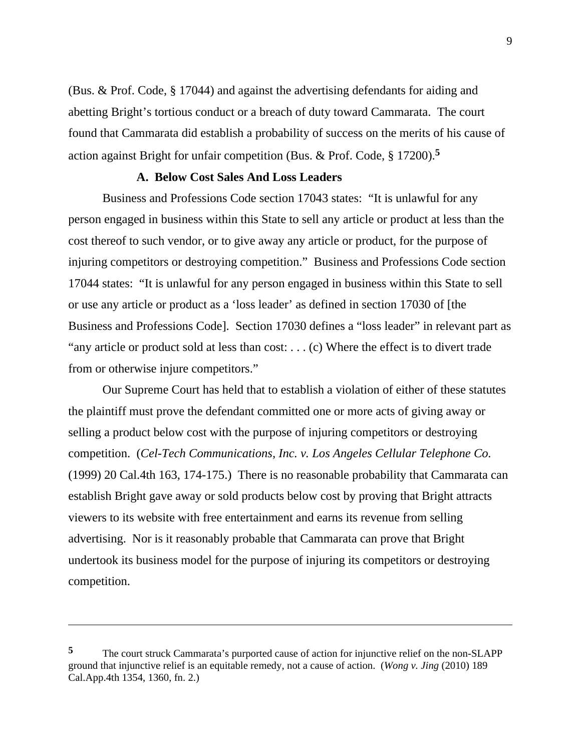(Bus. & Prof. Code, § 17044) and against the advertising defendants for aiding and abetting Bright's tortious conduct or a breach of duty toward Cammarata. The court found that Cammarata did establish a probability of success on the merits of his cause of action against Bright for unfair competition (Bus. & Prof. Code, § 17200).**<sup>5</sup>**

### **A. Below Cost Sales And Loss Leaders**

 Business and Professions Code section 17043 states: "It is unlawful for any person engaged in business within this State to sell any article or product at less than the cost thereof to such vendor, or to give away any article or product, for the purpose of injuring competitors or destroying competition." Business and Professions Code section 17044 states: "It is unlawful for any person engaged in business within this State to sell or use any article or product as a 'loss leader' as defined in section 17030 of [the Business and Professions Code]. Section 17030 defines a "loss leader" in relevant part as "any article or product sold at less than cost: . . . (c) Where the effect is to divert trade from or otherwise injure competitors."

 Our Supreme Court has held that to establish a violation of either of these statutes the plaintiff must prove the defendant committed one or more acts of giving away or selling a product below cost with the purpose of injuring competitors or destroying competition. (*Cel-Tech Communications, Inc. v. Los Angeles Cellular Telephone Co.* (1999) 20 Cal.4th 163, 174-175.) There is no reasonable probability that Cammarata can establish Bright gave away or sold products below cost by proving that Bright attracts viewers to its website with free entertainment and earns its revenue from selling advertising. Nor is it reasonably probable that Cammarata can prove that Bright undertook its business model for the purpose of injuring its competitors or destroying competition.

**<sup>5</sup>** The court struck Cammarata's purported cause of action for injunctive relief on the non-SLAPP ground that injunctive relief is an equitable remedy, not a cause of action. (*Wong v. Jing* (2010) 189 Cal.App.4th 1354, 1360, fn. 2.)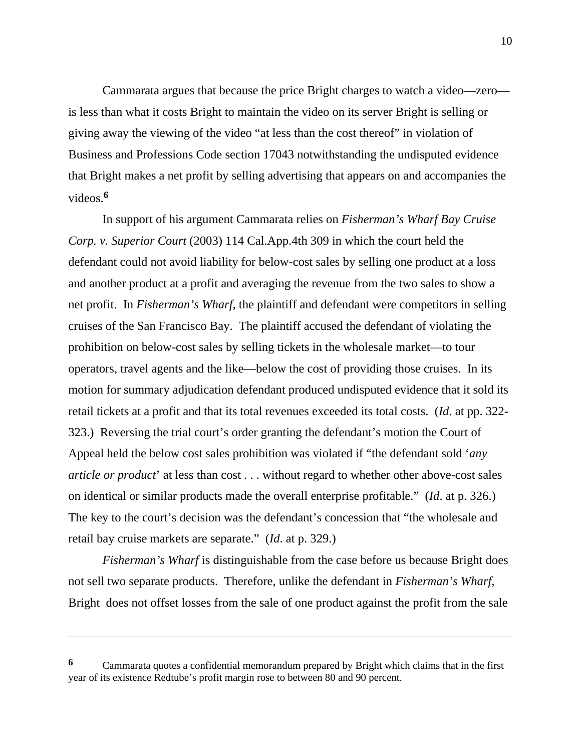Cammarata argues that because the price Bright charges to watch a video—zero is less than what it costs Bright to maintain the video on its server Bright is selling or giving away the viewing of the video "at less than the cost thereof" in violation of Business and Professions Code section 17043 notwithstanding the undisputed evidence that Bright makes a net profit by selling advertising that appears on and accompanies the videos.**<sup>6</sup>**

In support of his argument Cammarata relies on *Fisherman's Wharf Bay Cruise Corp. v. Superior Court* (2003) 114 Cal.App.4th 309 in which the court held the defendant could not avoid liability for below-cost sales by selling one product at a loss and another product at a profit and averaging the revenue from the two sales to show a net profit. In *Fisherman's Wharf*, the plaintiff and defendant were competitors in selling cruises of the San Francisco Bay. The plaintiff accused the defendant of violating the prohibition on below-cost sales by selling tickets in the wholesale market—to tour operators, travel agents and the like—below the cost of providing those cruises. In its motion for summary adjudication defendant produced undisputed evidence that it sold its retail tickets at a profit and that its total revenues exceeded its total costs. (*Id*. at pp. 322- 323.) Reversing the trial court's order granting the defendant's motion the Court of Appeal held the below cost sales prohibition was violated if "the defendant sold '*any article or product*' at less than cost . . . without regard to whether other above-cost sales on identical or similar products made the overall enterprise profitable." (*Id*. at p. 326.) The key to the court's decision was the defendant's concession that "the wholesale and retail bay cruise markets are separate." (*Id*. at p. 329.)

*Fisherman's Wharf* is distinguishable from the case before us because Bright does not sell two separate products. Therefore, unlike the defendant in *Fisherman's Wharf*, Bright does not offset losses from the sale of one product against the profit from the sale

**<sup>6</sup>** Cammarata quotes a confidential memorandum prepared by Bright which claims that in the first year of its existence Redtube's profit margin rose to between 80 and 90 percent.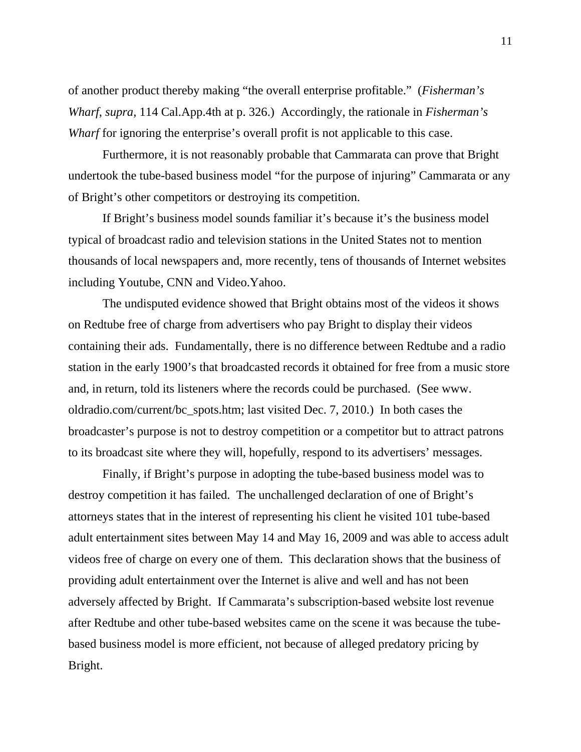of another product thereby making "the overall enterprise profitable." (*Fisherman's Wharf*, *supra*, 114 Cal.App.4th at p. 326.) Accordingly, the rationale in *Fisherman's Wharf* for ignoring the enterprise's overall profit is not applicable to this case.

 Furthermore, it is not reasonably probable that Cammarata can prove that Bright undertook the tube-based business model "for the purpose of injuring" Cammarata or any of Bright's other competitors or destroying its competition.

 If Bright's business model sounds familiar it's because it's the business model typical of broadcast radio and television stations in the United States not to mention thousands of local newspapers and, more recently, tens of thousands of Internet websites including Youtube, CNN and Video.Yahoo.

The undisputed evidence showed that Bright obtains most of the videos it shows on Redtube free of charge from advertisers who pay Bright to display their videos containing their ads. Fundamentally, there is no difference between Redtube and a radio station in the early 1900's that broadcasted records it obtained for free from a music store and, in return, told its listeners where the records could be purchased. (See www. oldradio.com/current/bc\_spots.htm; last visited Dec. 7, 2010.) In both cases the broadcaster's purpose is not to destroy competition or a competitor but to attract patrons to its broadcast site where they will, hopefully, respond to its advertisers' messages.

Finally, if Bright's purpose in adopting the tube-based business model was to destroy competition it has failed. The unchallenged declaration of one of Bright's attorneys states that in the interest of representing his client he visited 101 tube-based adult entertainment sites between May 14 and May 16, 2009 and was able to access adult videos free of charge on every one of them. This declaration shows that the business of providing adult entertainment over the Internet is alive and well and has not been adversely affected by Bright. If Cammarata's subscription-based website lost revenue after Redtube and other tube-based websites came on the scene it was because the tubebased business model is more efficient, not because of alleged predatory pricing by Bright.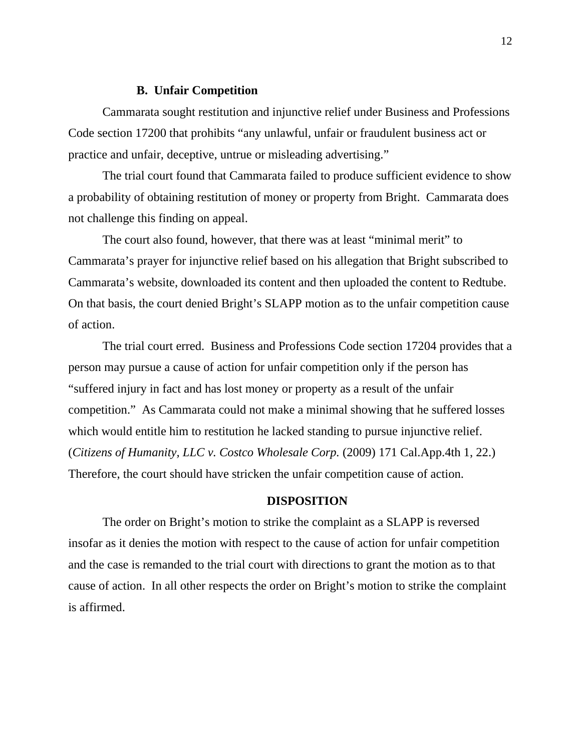### **B. Unfair Competition**

 Cammarata sought restitution and injunctive relief under Business and Professions Code section 17200 that prohibits "any unlawful, unfair or fraudulent business act or practice and unfair, deceptive, untrue or misleading advertising."

The trial court found that Cammarata failed to produce sufficient evidence to show a probability of obtaining restitution of money or property from Bright. Cammarata does not challenge this finding on appeal.

The court also found, however, that there was at least "minimal merit" to Cammarata's prayer for injunctive relief based on his allegation that Bright subscribed to Cammarata's website, downloaded its content and then uploaded the content to Redtube. On that basis, the court denied Bright's SLAPP motion as to the unfair competition cause of action.

The trial court erred. Business and Professions Code section 17204 provides that a person may pursue a cause of action for unfair competition only if the person has "suffered injury in fact and has lost money or property as a result of the unfair competition." As Cammarata could not make a minimal showing that he suffered losses which would entitle him to restitution he lacked standing to pursue injunctive relief. (*Citizens of Humanity, LLC v. Costco Wholesale Corp.* (2009) 171 Cal.App.4th 1, 22.) Therefore, the court should have stricken the unfair competition cause of action.

### **DISPOSITION**

The order on Bright's motion to strike the complaint as a SLAPP is reversed insofar as it denies the motion with respect to the cause of action for unfair competition and the case is remanded to the trial court with directions to grant the motion as to that cause of action. In all other respects the order on Bright's motion to strike the complaint is affirmed.